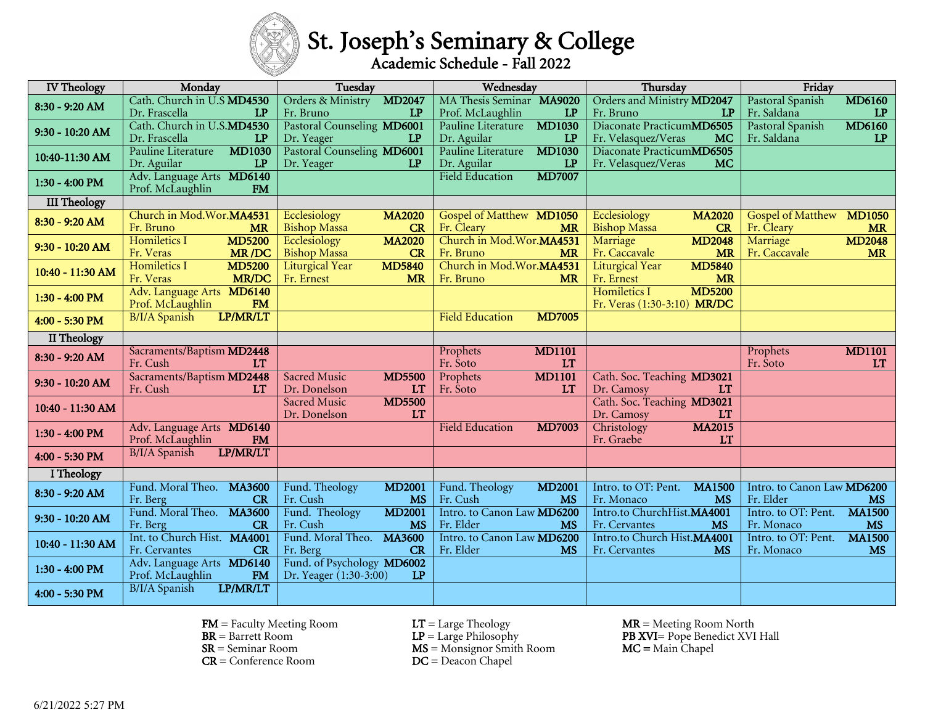# St. Joseph's Seminary & College

| <b>IV</b> Theology  | Monday                                                     | Tuesday                                                            | Wednesday                                                | Thursday                                                           | Friday                                                               |
|---------------------|------------------------------------------------------------|--------------------------------------------------------------------|----------------------------------------------------------|--------------------------------------------------------------------|----------------------------------------------------------------------|
| 8:30 - 9:20 AM      | Cath. Church in U.S MD4530<br>Dr. Frascella<br>LP          | Orders & Ministry<br><b>MD2047</b><br>Fr. Bruno<br>LP              | MA Thesis Seminar MA9020<br>LP<br>Prof. McLaughlin       | Orders and Ministry MD2047<br>Fr. Bruno<br>LP                      | Pastoral Spanish<br><b>MD6160</b><br>Fr. Saldana<br>LP               |
| 9:30 - 10:20 AM     | Cath. Church in U.S.MD4530<br>Dr. Frascella<br>LP          | Pastoral Counseling MD6001<br>Dr. Yeager<br>LP                     | <b>MD1030</b><br>Pauline Literature<br>Dr. Aguilar<br>LP | Diaconate PracticumMD6505<br>Fr. Velasquez/Veras<br><b>MC</b>      | <b>MD6160</b><br>Pastoral Spanish<br>Fr. Saldana<br>LP               |
| 10:40-11:30 AM      | <b>MD1030</b><br>Pauline Literature<br>Dr. Aguilar<br>LP   | Pastoral Counseling MD6001<br>Dr. Yeager<br>LP                     | Pauline Literature<br><b>MD1030</b><br>Dr. Aguilar<br>LP | Diaconate PracticumMD6505<br>Fr. Velasquez/Veras<br><b>MC</b>      |                                                                      |
| $1:30 - 4:00$ PM    | Adv. Language Arts MD6140<br><b>FM</b><br>Prof. McLaughlin |                                                                    | <b>Field Education</b><br><b>MD7007</b>                  |                                                                    |                                                                      |
| <b>III Theology</b> |                                                            |                                                                    |                                                          |                                                                    |                                                                      |
| 8:30 - 9:20 AM      | Church in Mod.Wor.MA4531<br>Fr. Bruno<br><b>MR</b>         | Ecclesiology<br><b>MA2020</b><br><b>Bishop Massa</b><br>CR         | Gospel of Matthew MD1050<br>Fr. Cleary<br><b>MR</b>      | Ecclesiology<br><b>MA2020</b><br><b>Bishop Massa</b><br>CR         | <b>Gospel of Matthew</b><br><b>MD1050</b><br>Fr. Cleary<br><b>MR</b> |
| 9:30 - 10:20 AM     | <b>MD5200</b><br>Homiletics I<br><b>MR/DC</b><br>Fr. Veras | Ecclesiology<br><b>MA2020</b><br><b>Bishop Massa</b><br>CR         | Church in Mod.Wor.MA4531<br>Fr. Bruno<br><b>MR</b>       | <b>MD2048</b><br>Marriage<br><b>MR</b><br>Fr. Caccavale            | <b>MD2048</b><br>Marriage<br>Fr. Caccavale<br><b>MR</b>              |
| 10:40 - 11:30 AM    | Homiletics I<br><b>MD5200</b><br><b>MR/DC</b><br>Fr. Veras | <b>Liturgical Year</b><br><b>MD5840</b><br>Fr. Ernest<br><b>MR</b> | Church in Mod.Wor.MA4531<br>Fr. Bruno<br><b>MR</b>       | <b>MD5840</b><br><b>Liturgical Year</b><br>Fr. Ernest<br><b>MR</b> |                                                                      |
| $1:30 - 4:00$ PM    | Adv. Language Arts MD6140<br>FM<br>Prof. McLaughlin        |                                                                    |                                                          | <b>MD5200</b><br>Homiletics I<br>Fr. Veras (1:30-3:10) MR/DC       |                                                                      |
| 4:00 - 5:30 PM      | LP/MR/LT<br><b>B/I/A Spanish</b>                           |                                                                    | <b>Field Education</b><br><b>MD7005</b>                  |                                                                    |                                                                      |
| II Theology         |                                                            |                                                                    |                                                          |                                                                    |                                                                      |
| 8:30 - 9:20 AM      | Sacraments/Baptism MD2448<br>Fr. Cush<br><b>LT</b>         |                                                                    | <b>MD1101</b><br>Prophets<br>Fr. Soto<br><b>LT</b>       |                                                                    | <b>MD1101</b><br>Prophets<br>Fr. Soto<br>LT                          |
| $9:30 - 10:20$ AM   | Sacraments/Baptism MD2448<br>Fr. Cush<br><b>LT</b>         | <b>Sacred Music</b><br><b>MD5500</b><br>Dr. Donelson<br><b>LT</b>  | <b>MD1101</b><br>Prophets<br>Fr. Soto<br><b>LT</b>       | Cath. Soc. Teaching MD3021<br>Dr. Camosy<br><b>LT</b>              |                                                                      |
| 10:40 - 11:30 AM    |                                                            | <b>Sacred Music</b><br><b>MD5500</b><br>Dr. Donelson<br><b>LT</b>  |                                                          | Cath. Soc. Teaching MD3021<br><b>LT</b><br>Dr. Camosy              |                                                                      |
| $1:30 - 4:00$ PM    | Adv. Language Arts MD6140<br>Prof. McLaughlin<br><b>FM</b> |                                                                    | <b>Field Education</b><br><b>MD7003</b>                  | <b>MA2015</b><br>Christology<br>Fr. Graebe<br><b>LT</b>            |                                                                      |
| 4:00 - 5:30 PM      | LP/MR/LT<br>B/I/A Spanish                                  |                                                                    |                                                          |                                                                    |                                                                      |
| I Theology          |                                                            |                                                                    |                                                          |                                                                    |                                                                      |
| 8:30 - 9:20 AM      | Fund. Moral Theo.<br><b>MA3600</b><br>Fr. Berg<br>CR       | Fund. Theology<br><b>MD2001</b><br>Fr. Cush<br><b>MS</b>           | Fund. Theology<br><b>MD2001</b><br>Fr. Cush<br><b>MS</b> | Intro. to OT: Pent.<br><b>MA1500</b><br>Fr. Monaco<br><b>MS</b>    | Intro. to Canon Law MD6200<br>Fr. Elder<br><b>MS</b>                 |
| 9:30 - 10:20 AM     | Fund. Moral Theo. MA3600<br>Fr. Berg<br>CR                 | Fund. Theology<br><b>MD2001</b><br>Fr. Cush<br><b>MS</b>           | Intro. to Canon Law MD6200<br>Fr. Elder<br><b>MS</b>     | Intro.to ChurchHist.MA4001<br>Fr. Cervantes<br><b>MS</b>           | Intro. to OT: Pent.<br><b>MA1500</b><br>Fr. Monaco<br><b>MS</b>      |
| 10:40 - 11:30 AM    | Int. to Church Hist. MA4001<br>Fr. Cervantes<br>CR         | Fund. Moral Theo.<br><b>MA3600</b><br>Fr. Berg<br>CR               | Intro. to Canon Law MD6200<br>Fr. Elder<br><b>MS</b>     | Intro.to Church Hist.MA4001<br>Fr. Cervantes<br><b>MS</b>          | <b>MA1500</b><br>Intro. to OT: Pent.<br>Fr. Monaco<br><b>MS</b>      |
| $1:30 - 4:00$ PM    | Adv. Language Arts MD6140<br>Prof. McLaughlin<br><b>FM</b> | Fund. of Psychology MD6002<br>Dr. Yeager (1:30-3:00)<br>LP         |                                                          |                                                                    |                                                                      |
| 4:00 - 5:30 PM      | B/I/A Spanish<br>LP/MR/LT                                  |                                                                    |                                                          |                                                                    |                                                                      |

 $FM$  = Faculty Meeting Room  $LT$  = Large Theology  $MR$  = Meeting Room North

- 
- 

 $SR =$  Seminar Room  $DR =$  Conference Room  $DC =$  Deacon Chapel

 $DC = Deacon$  Chapel

 $BR = Barrett Room$ <br>  $SR = Seminar Room$ <br>  $MS = Monsignor Smith Room$ <br>  $M = Monsignor Smith Room$ <br>  $M = Main Chapel$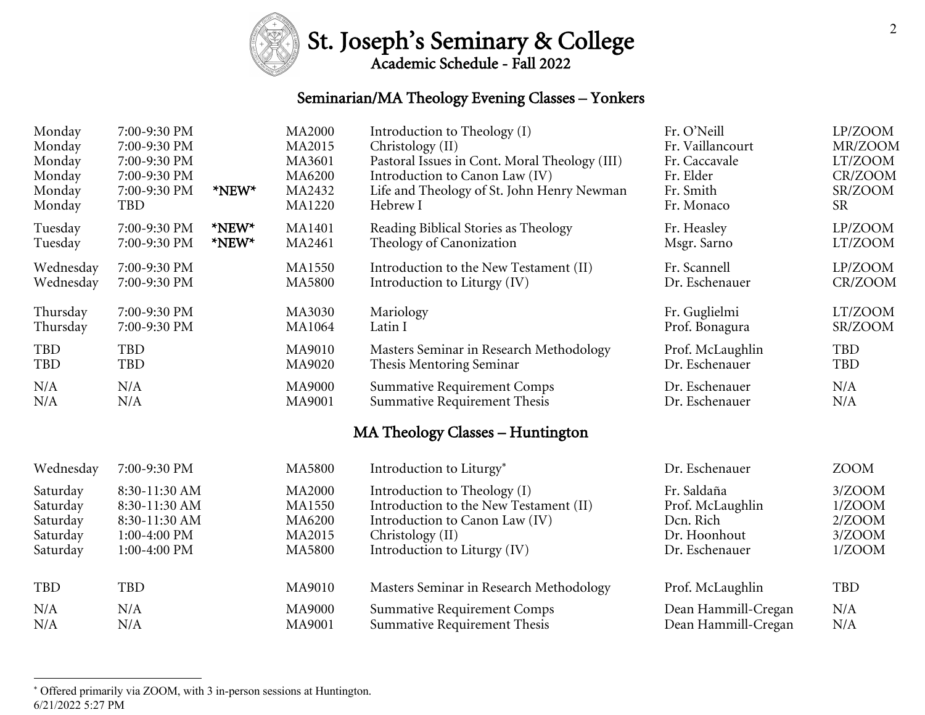## St. Joseph's Seminary & College

### Seminarian/MA Theology Evening Classes – Yonkers

| Monday     | 7:00-9:30 PM   | *NEW* | <b>MA2000</b> | Introduction to Theology (I)                  | Fr. O'Neill         | LP/ZOOM     |
|------------|----------------|-------|---------------|-----------------------------------------------|---------------------|-------------|
| Monday     | 7:00-9:30 PM   |       | MA2015        | Christology (II)                              | Fr. Vaillancourt    | MR/ZOOM     |
| Monday     | 7:00-9:30 PM   |       | MA3601        | Pastoral Issues in Cont. Moral Theology (III) | Fr. Caccavale       | LT/ZOOM     |
| Monday     | 7:00-9:30 PM   |       | MA6200        | Introduction to Canon Law (IV)                | Fr. Elder           | CR/ZOOM     |
| Monday     | 7:00-9:30 PM   |       | MA2432        | Life and Theology of St. John Henry Newman    | Fr. Smith           | SR/ZOOM     |
| Monday     | TBD            |       | <b>MA1220</b> | Hebrew I                                      | Fr. Monaco          | <b>SR</b>   |
| Tuesday    | 7:00-9:30 PM   | *NEW* | <b>MA1401</b> | Reading Biblical Stories as Theology          | Fr. Heasley         | LP/ZOOM     |
| Tuesday    | 7:00-9:30 PM   | *NEW* | MA2461        | Theology of Canonization                      | Msgr. Sarno         | LT/ZOOM     |
| Wednesday  | 7:00-9:30 PM   |       | <b>MA1550</b> | Introduction to the New Testament (II)        | Fr. Scannell        | LP/ZOOM     |
| Wednesday  | 7:00-9:30 PM   |       | <b>MA5800</b> | Introduction to Liturgy (IV)                  | Dr. Eschenauer      | CR/ZOOM     |
| Thursday   | 7:00-9:30 PM   |       | MA3030        | Mariology                                     | Fr. Guglielmi       | LT/ZOOM     |
| Thursday   | 7:00-9:30 PM   |       | <b>MA1064</b> | Latin I                                       | Prof. Bonagura      | SR/ZOOM     |
| <b>TBD</b> | TBD            |       | MA9010        | Masters Seminar in Research Methodology       | Prof. McLaughlin    | <b>TBD</b>  |
| TBD        | TBD            |       | MA9020        | Thesis Mentoring Seminar                      | Dr. Eschenauer      | <b>TBD</b>  |
| N/A        | N/A            |       | MA9000        | <b>Summative Requirement Comps</b>            | Dr. Eschenauer      | N/A         |
| N/A        | N/A            |       | MA9001        | <b>Summative Requirement Thesis</b>           | Dr. Eschenauer      | N/A         |
|            |                |       |               | MA Theology Classes - Huntington              |                     |             |
| Wednesday  | 7:00-9:30 PM   |       | <b>MA5800</b> | Introduction to Liturgy*                      | Dr. Eschenauer      | <b>ZOOM</b> |
| Saturday   | 8:30-11:30 AM  |       | <b>MA2000</b> | Introduction to Theology (I)                  | Fr. Saldaña         | 3/ZOOM      |
| Saturday   | 8:30-11:30 AM  |       | <b>MA1550</b> | Introduction to the New Testament (II)        | Prof. McLaughlin    | 1/ZOOM      |
| Saturday   | 8:30-11:30 AM  |       | MA6200        | Introduction to Canon Law (IV)                | Dcn. Rich           | 2/ZOOM      |
| Saturday   | $1:00-4:00$ PM |       | MA2015        | Christology (II)                              | Dr. Hoonhout        | 3/ZOOM      |
| Saturday   | 1:00-4:00 PM   |       | <b>MA5800</b> | Introduction to Liturgy (IV)                  | Dr. Eschenauer      | 1/ZOOM      |
| TBD        | TBD            |       | MA9010        | Masters Seminar in Research Methodology       | Prof. McLaughlin    | <b>TBD</b>  |
| N/A        | N/A            |       | <b>MA9000</b> | <b>Summative Requirement Comps</b>            | Dean Hammill-Cregan | N/A         |
| N/A        | N/A            |       | MA9001        | Summative Requirement Thesis                  | Dean Hammill-Cregan | N/A         |

<sup>6/21/2022 5:27</sup> PM \* Offered primarily via ZOOM, with 3 in-person sessions at Huntington.